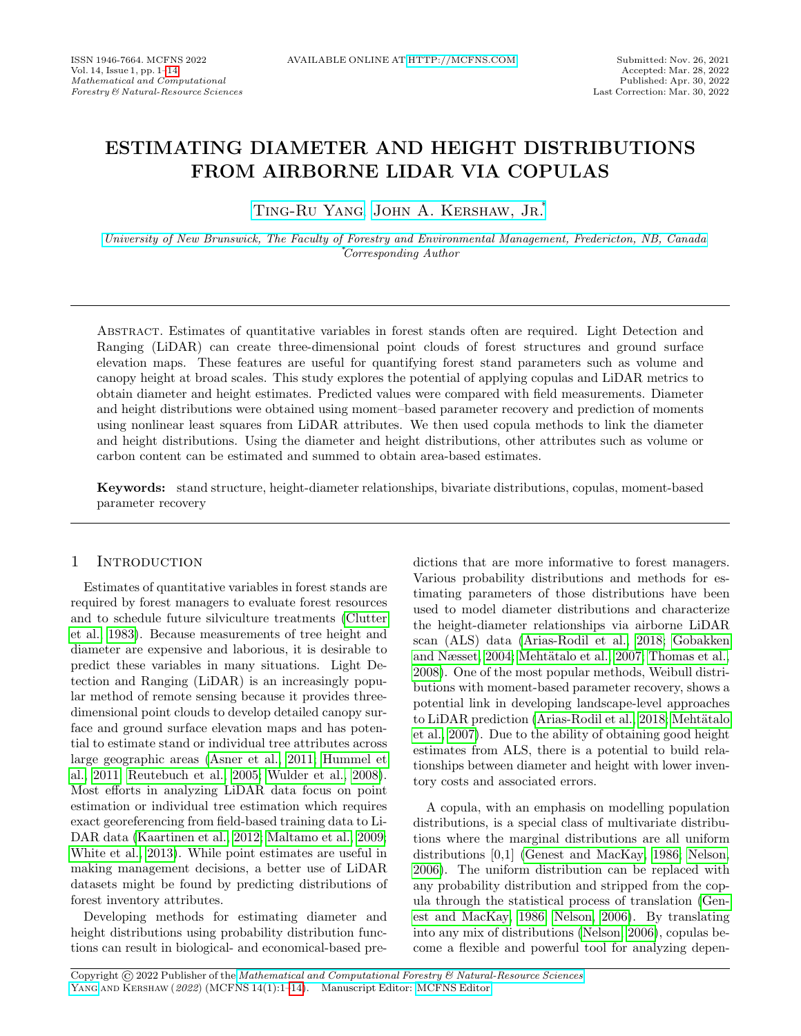# ESTIMATING DIAMETER AND HEIGHT DISTRIBUTIONS FROM AIRBORNE LIDAR VIA COPULAS

[Ting-Ru Yang,](mailto:b00605080@gmail.com) [John A. Kershaw, Jr.](mailto:kershaw@unb.ca)\*

[University of New Brunswick, The Faculty of Forestry and Environmental Management, Fredericton, NB, Canada](https://www.unb.ca/) \*Corresponding Author

Abstract. Estimates of quantitative variables in forest stands often are required. Light Detection and Ranging (LiDAR) can create three-dimensional point clouds of forest structures and ground surface elevation maps. These features are useful for quantifying forest stand parameters such as volume and canopy height at broad scales. This study explores the potential of applying copulas and LiDAR metrics to obtain diameter and height estimates. Predicted values were compared with field measurements. Diameter and height distributions were obtained using moment–based parameter recovery and prediction of moments using nonlinear least squares from LiDAR attributes. We then used copula methods to link the diameter and height distributions. Using the diameter and height distributions, other attributes such as volume or carbon content can be estimated and summed to obtain area-based estimates.

Keywords: stand structure, height-diameter relationships, bivariate distributions, copulas, moment-based parameter recovery

## 1 Introduction

Estimates of quantitative variables in forest stands are required by forest managers to evaluate forest resources and to schedule future silviculture treatments [\(Clutter](#page-10-0) [et al., 1983\)](#page-10-0). Because measurements of tree height and diameter are expensive and laborious, it is desirable to predict these variables in many situations. Light Detection and Ranging (LiDAR) is an increasingly popular method of remote sensing because it provides threedimensional point clouds to develop detailed canopy surface and ground surface elevation maps and has potential to estimate stand or individual tree attributes across large geographic areas [\(Asner et al., 2011;](#page-9-1) [Hummel et](#page-11-0) [al., 2011;](#page-11-0) [Reutebuch et al., 2005;](#page-12-0) [Wulder et al., 2008\)](#page-13-0). Most efforts in analyzing LiDAR data focus on point estimation or individual tree estimation which requires exact georeferencing from field-based training data to Li-DAR data [\(Kaartinen et al., 2012;](#page-11-1) [Maltamo et al., 2009;](#page-11-2) [White et al., 2013\)](#page-13-1). While point estimates are useful in making management decisions, a better use of LiDAR datasets might be found by predicting distributions of forest inventory attributes.

Developing methods for estimating diameter and height distributions using probability distribution functions can result in biological- and economical-based predictions that are more informative to forest managers. Various probability distributions and methods for estimating parameters of those distributions have been used to model diameter distributions and characterize the height-diameter relationships via airborne LiDAR scan (ALS) data [\(Arias-Rodil et al., 2018;](#page-9-2) [Gobakken](#page-10-1) [and Næsset, 2004;](#page-10-1) Mehtätalo et al., 2007; [Thomas et al.,](#page-12-1) [2008\)](#page-12-1). One of the most popular methods, Weibull distributions with moment-based parameter recovery, shows a potential link in developing landscape-level approaches to LiDAR prediction [\(Arias-Rodil et al., 2018;](#page-9-2) Mehtätalo [et al., 2007\)](#page-11-3). Due to the ability of obtaining good height estimates from ALS, there is a potential to build relationships between diameter and height with lower inventory costs and associated errors.

A copula, with an emphasis on modelling population distributions, is a special class of multivariate distributions where the marginal distributions are all uniform distributions [0,1] [\(Genest and MacKay, 1986;](#page-10-2) [Nelson,](#page-12-2) [2006\)](#page-12-2). The uniform distribution can be replaced with any probability distribution and stripped from the copula through the statistical process of translation [\(Gen](#page-10-2)[est and MacKay, 1986;](#page-10-2) [Nelson, 2006\)](#page-12-2). By translating into any mix of distributions [\(Nelson, 2006\)](#page-12-2), copulas become a flexible and powerful tool for analyzing depen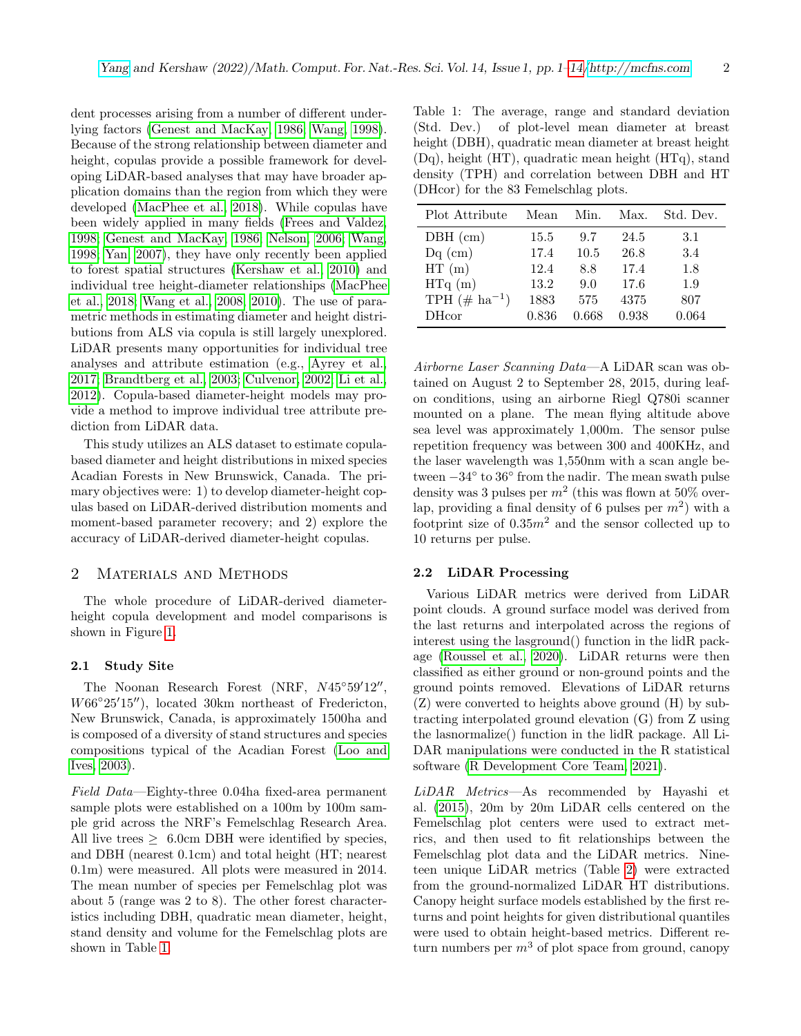dent processes arising from a number of different underlying factors [\(Genest and MacKay, 1986;](#page-10-2) [Wang, 1998\)](#page-13-2). Because of the strong relationship between diameter and height, copulas provide a possible framework for developing LiDAR-based analyses that may have broader application domains than the region from which they were developed [\(MacPhee et al., 2018\)](#page-11-4). While copulas have been widely applied in many fields [\(Frees and Valdez,](#page-10-3) [1998;](#page-10-3) [Genest and MacKay, 1986;](#page-10-2) [Nelson, 2006;](#page-12-2) [Wang,](#page-13-2) [1998;](#page-13-2) [Yan, 2007\)](#page-13-3), they have only recently been applied to forest spatial structures [\(Kershaw et al., 2010\)](#page-11-5) and individual tree height-diameter relationships [\(MacPhee](#page-11-4) [et al., 2018;](#page-11-4) [Wang et al., 2008,](#page-12-3) [2010\)](#page-13-4). The use of parametric methods in estimating diameter and height distributions from ALS via copula is still largely unexplored. LiDAR presents many opportunities for individual tree analyses and attribute estimation (e.g., [Ayrey et al.,](#page-9-3) [2017;](#page-9-3) [Brandtberg et al., 2003;](#page-10-4) [Culvenor, 2002;](#page-10-5) [Li et al.,](#page-11-6) [2012\)](#page-11-6). Copula-based diameter-height models may provide a method to improve individual tree attribute prediction from LiDAR data.

This study utilizes an ALS dataset to estimate copulabased diameter and height distributions in mixed species Acadian Forests in New Brunswick, Canada. The primary objectives were: 1) to develop diameter-height copulas based on LiDAR-derived distribution moments and moment-based parameter recovery; and 2) explore the accuracy of LiDAR-derived diameter-height copulas.

## 2 Materials and Methods

The whole procedure of LiDAR-derived diameterheight copula development and model comparisons is shown in Figure [1.](#page-2-0)

#### 2.1 Study Site

The Noonan Research Forest (NRF,  $N45^{\circ}59'12''$ , W66°25'15"), located 30km northeast of Fredericton, New Brunswick, Canada, is approximately 1500ha and is composed of a diversity of stand structures and species compositions typical of the Acadian Forest [\(Loo and](#page-11-7) [Ives, 2003\)](#page-11-7).

Field Data—Eighty-three 0.04ha fixed-area permanent sample plots were established on a 100m by 100m sample grid across the NRF's Femelschlag Research Area. All live trees  $> 6.0$ cm DBH were identified by species, and DBH (nearest 0.1cm) and total height (HT; nearest 0.1m) were measured. All plots were measured in 2014. The mean number of species per Femelschlag plot was about 5 (range was 2 to 8). The other forest characteristics including DBH, quadratic mean diameter, height, stand density and volume for the Femelschlag plots are shown in Table [1.](#page-1-0)

<span id="page-1-0"></span>Table 1: The average, range and standard deviation (Std. Dev.) of plot-level mean diameter at breast height (DBH), quadratic mean diameter at breast height (Dq), height (HT), quadratic mean height (HTq), stand density (TPH) and correlation between DBH and HT (DHcor) for the 83 Femelschlag plots.

| Plot Attribute             | Mean  | Min.  | Max.  | Std. Dev. |
|----------------------------|-------|-------|-------|-----------|
| $DBH$ (cm)                 | 15.5  | 9.7   | 24.5  | 3.1       |
| $Dq$ (cm)                  | 17.4  | 10.5  | 26.8  | 3.4       |
| HT(m)                      | 12.4  | 8.8   | 17.4  | 1.8       |
| HTq(m)                     | 13.2  | 9.0   | 17.6  | 1.9       |
| TPH $(\# \text{ ha}^{-1})$ | 1883  | 575   | 4375  | 807       |
| <b>DH</b> cor              | 0.836 | 0.668 | 0.938 | 0.064     |
|                            |       |       |       |           |

Airborne Laser Scanning Data—A LiDAR scan was obtained on August 2 to September 28, 2015, during leafon conditions, using an airborne Riegl Q780i scanner mounted on a plane. The mean flying altitude above sea level was approximately 1,000m. The sensor pulse repetition frequency was between 300 and 400KHz, and the laser wavelength was 1,550nm with a scan angle between −34◦ to 36◦ from the nadir. The mean swath pulse density was 3 pulses per  $m^2$  (this was flown at 50% overlap, providing a final density of 6 pulses per  $m^2$ ) with a footprint size of  $0.35m^2$  and the sensor collected up to 10 returns per pulse.

#### 2.2 LiDAR Processing

Various LiDAR metrics were derived from LiDAR point clouds. A ground surface model was derived from the last returns and interpolated across the regions of interest using the lasground() function in the lidR package [\(Roussel et al., 2020\)](#page-12-4). LiDAR returns were then classified as either ground or non-ground points and the ground points removed. Elevations of LiDAR returns (Z) were converted to heights above ground (H) by subtracting interpolated ground elevation (G) from Z using the lasnormalize() function in the lidR package. All Li-DAR manipulations were conducted in the R statistical software [\(R Development Core Team, 2021\)](#page-12-5).

LiDAR Metrics—As recommended by Hayashi et al. [\(2015\)](#page-10-6), 20m by 20m LiDAR cells centered on the Femelschlag plot centers were used to extract metrics, and then used to fit relationships between the Femelschlag plot data and the LiDAR metrics. Nineteen unique LiDAR metrics (Table [2\)](#page-3-0) were extracted from the ground-normalized LiDAR HT distributions. Canopy height surface models established by the first returns and point heights for given distributional quantiles were used to obtain height-based metrics. Different return numbers per  $m<sup>3</sup>$  of plot space from ground, canopy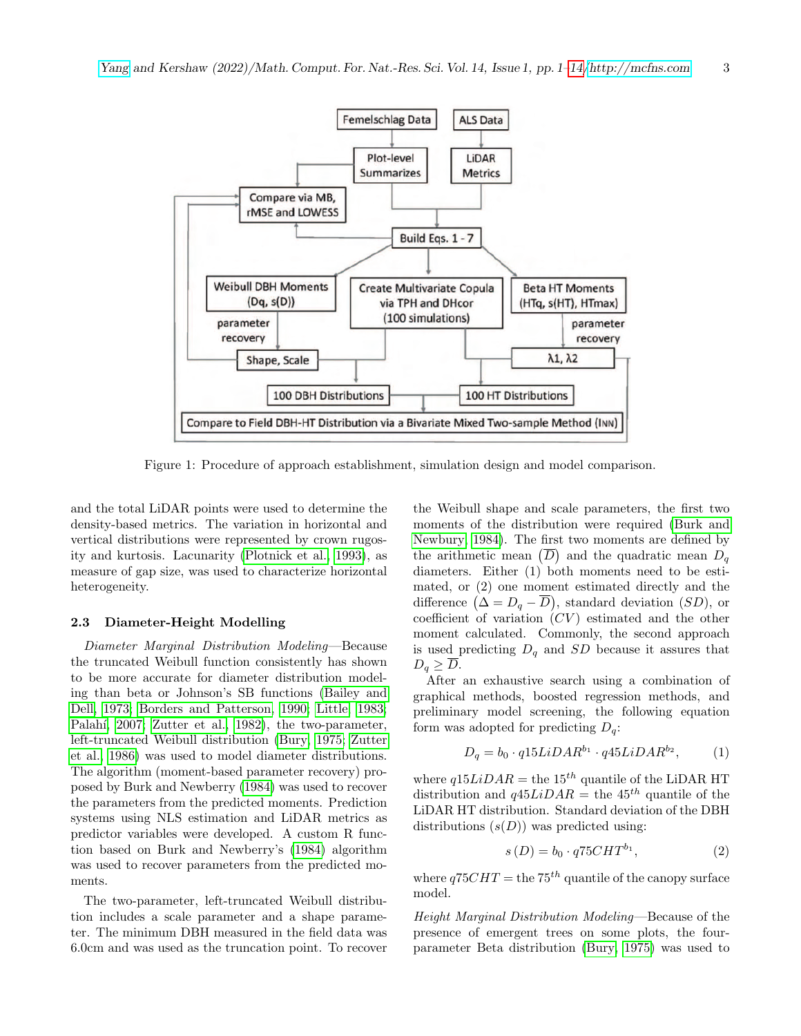<span id="page-2-0"></span>

Figure 1: Procedure of approach establishment, simulation design and model comparison.

and the total LiDAR points were used to determine the density-based metrics. The variation in horizontal and vertical distributions were represented by crown rugosity and kurtosis. Lacunarity [\(Plotnick et al., 1993\)](#page-12-6), as measure of gap size, was used to characterize horizontal heterogeneity.

## 2.3 Diameter-Height Modelling

Diameter Marginal Distribution Modeling—Because the truncated Weibull function consistently has shown to be more accurate for diameter distribution modeling than beta or Johnson's SB functions [\(Bailey and](#page-10-7) [Dell, 1973;](#page-10-7) [Borders and Patterson, 1990;](#page-10-8) [Little, 1983;](#page-11-8) Palahí, 2007; [Zutter et al., 1982\)](#page-13-5), the two-parameter, left-truncated Weibull distribution [\(Bury, 1975;](#page-10-9) [Zutter](#page-13-6) [et al., 1986\)](#page-13-6) was used to model diameter distributions. The algorithm (moment-based parameter recovery) proposed by Burk and Newberry [\(1984\)](#page-10-10) was used to recover the parameters from the predicted moments. Prediction systems using NLS estimation and LiDAR metrics as predictor variables were developed. A custom R function based on Burk and Newberry's [\(1984\)](#page-10-10) algorithm was used to recover parameters from the predicted moments.

The two-parameter, left-truncated Weibull distribution includes a scale parameter and a shape parameter. The minimum DBH measured in the field data was 6.0cm and was used as the truncation point. To recover the Weibull shape and scale parameters, the first two moments of the distribution were required [\(Burk and](#page-10-10) [Newbury, 1984\)](#page-10-10). The first two moments are defined by the arithmetic mean  $(\overline{D})$  and the quadratic mean  $D_q$ diameters. Either (1) both moments need to be estimated, or (2) one moment estimated directly and the difference  $(\Delta = D_q - \overline{D})$ , standard deviation  $(SD)$ , or coefficient of variation  $(CV)$  estimated and the other moment calculated. Commonly, the second approach is used predicting  $D_q$  and SD because it assures that  $D_q \geq \overline{D}$ .

After an exhaustive search using a combination of graphical methods, boosted regression methods, and preliminary model screening, the following equation form was adopted for predicting  $D_q$ :

$$
D_q = b_0 \cdot q15LiDAR^{b_1} \cdot q45LiDAR^{b_2},\tag{1}
$$

where  $q15LiDAR$  = the  $15<sup>th</sup>$  quantile of the LiDAR HT distribution and  $q45LiDAR$  = the 45<sup>th</sup> quantile of the LiDAR HT distribution. Standard deviation of the DBH distributions  $(s(D))$  was predicted using:

$$
s(D) = b_0 \cdot q75CHT^{b_1},\tag{2}
$$

where  $q75CHT =$  the 75<sup>th</sup> quantile of the canopy surface model.

Height Marginal Distribution Modeling—Because of the presence of emergent trees on some plots, the fourparameter Beta distribution [\(Bury, 1975\)](#page-10-9) was used to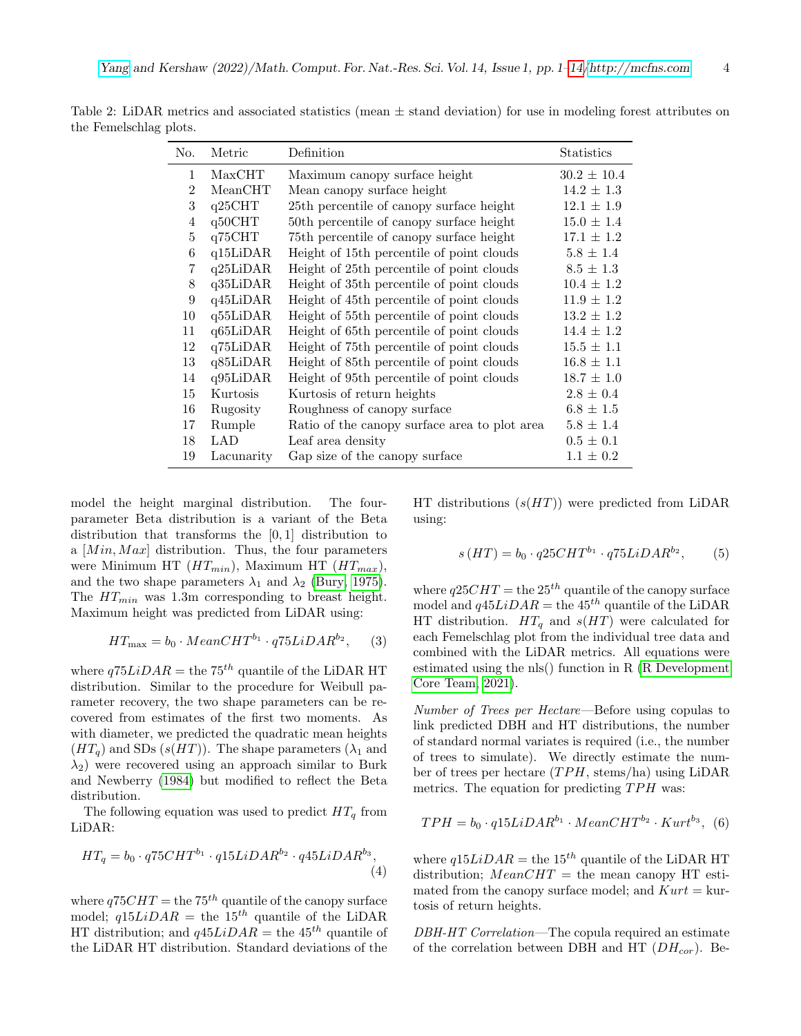| No.                         | Metric     | Definition                                    | Statistics      |
|-----------------------------|------------|-----------------------------------------------|-----------------|
| $\mathbf{1}$                | MaxCHT     | Maximum canopy surface height                 | $30.2 \pm 10.4$ |
| $\mathcal{D}_{\mathcal{L}}$ | MeanCHT    | Mean canopy surface height                    | $14.2 \pm 1.3$  |
| 3                           | q25CHT     | 25th percentile of canopy surface height      | $12.1 \pm 1.9$  |
| 4                           | q50CHT     | 50th percentile of canopy surface height      | $15.0 \pm 1.4$  |
| 5                           | q75CHT     | 75th percentile of canopy surface height      | $17.1 \pm 1.2$  |
| 6                           | q15LiDAR   | Height of 15th percentile of point clouds     | $5.8 \pm 1.4$   |
| 7                           | q25LiDAR   | Height of 25th percentile of point clouds     | $8.5 \pm 1.3$   |
| 8                           | q35LiDAR   | Height of 35th percentile of point clouds     | $10.4 \pm 1.2$  |
| 9                           | q45LiDAR   | Height of 45th percentile of point clouds     | $11.9 \pm 1.2$  |
| 10                          | q55LiDAR   | Height of 55th percentile of point clouds     | $13.2 \pm 1.2$  |
| 11                          | q65LiDAR   | Height of 65th percentile of point clouds     | $14.4 \pm 1.2$  |
| 12                          | q75LiDAR   | Height of 75th percentile of point clouds     | $15.5 \pm 1.1$  |
| 13                          | q85LiDAR   | Height of 85th percentile of point clouds     | $16.8 \pm 1.1$  |
| 14                          | q95LiDAR   | Height of 95th percentile of point clouds     | $18.7 \pm 1.0$  |
| 15                          | Kurtosis   | Kurtosis of return heights                    | $2.8 \pm 0.4$   |
| 16                          | Rugosity   | Roughness of canopy surface                   | $6.8 \pm 1.5$   |
| 17                          | Rumple     | Ratio of the canopy surface area to plot area | $5.8 \pm 1.4$   |
| 18                          | LAD        | Leaf area density                             | $0.5 \pm 0.1$   |
| 19                          | Lacunarity | Gap size of the canopy surface                | $1.1 \pm 0.2$   |

<span id="page-3-0"></span>Table 2: LiDAR metrics and associated statistics (mean  $\pm$  stand deviation) for use in modeling forest attributes on the Femelschlag plots.

model the height marginal distribution. The fourparameter Beta distribution is a variant of the Beta distribution that transforms the [0, 1] distribution to a  $[Min, Max]$  distribution. Thus, the four parameters were Minimum HT  $(HT_{min})$ , Maximum HT  $(HT_{max})$ , and the two shape parameters  $\lambda_1$  and  $\lambda_2$  [\(Bury, 1975\)](#page-10-9). The  $HT_{min}$  was 1.3m corresponding to breast height. Maximum height was predicted from LiDAR using:

$$
HT_{\text{max}} = b_0 \cdot MeanCHT^{b_1} \cdot q75LiDAR^{b_2},\qquad(3)
$$

where  $q75LiDAR =$  the  $75<sup>th</sup>$  quantile of the LiDAR HT distribution. Similar to the procedure for Weibull parameter recovery, the two shape parameters can be recovered from estimates of the first two moments. As with diameter, we predicted the quadratic mean heights  $(HT<sub>q</sub>)$  and SDs  $(s(HT))$ . The shape parameters  $(\lambda_1$  and  $\lambda_2$ ) were recovered using an approach similar to Burk and Newberry [\(1984\)](#page-10-10) but modified to reflect the Beta distribution.

The following equation was used to predict  $HT_q$  from LiDAR:

$$
HT_q = b_0 \cdot q75CHT^{b_1} \cdot q15LiDAR^{b_2} \cdot q45LiDAR^{b_3},\tag{4}
$$

where  $q75CHT =$  the 75<sup>th</sup> quantile of the canopy surface model;  $q15LiDAR$  = the  $15<sup>th</sup>$  quantile of the LiDAR HT distribution; and  $q45LiDAR$  = the 45<sup>th</sup> quantile of the LiDAR HT distribution. Standard deviations of the HT distributions  $(s(HT))$  were predicted from LiDAR using:

$$
s(HT) = b_0 \cdot q25CHT^{b_1} \cdot q75LiDAR^{b_2},
$$
 (5)

where  $q25CHT =$  the  $25<sup>th</sup>$  quantile of the canopy surface model and  $q45LiDAR$  = the  $45<sup>th</sup>$  quantile of the LiDAR HT distribution.  $HT_q$  and  $s(HT)$  were calculated for each Femelschlag plot from the individual tree data and combined with the LiDAR metrics. All equations were estimated using the nls() function in R [\(R Development](#page-12-5) [Core Team, 2021\)](#page-12-5).

Number of Trees per Hectare—Before using copulas to link predicted DBH and HT distributions, the number of standard normal variates is required (i.e., the number of trees to simulate). We directly estimate the number of trees per hectare  $(TPH, \text{stems/ha})$  using LiDAR metrics. The equation for predicting  $TPH$  was:

$$
TPH = b_0 \cdot q15LiDAR^{b_1} \cdot MeanCHT^{b_2} \cdot Kurt^{b_3}, \quad (6)
$$

where  $q15LiDAR$  = the 15<sup>th</sup> quantile of the LiDAR HT distribution;  $MeanCHT$  = the mean canopy HT estimated from the canopy surface model; and  $Kurt = \text{kur-}$ tosis of return heights.

DBH-HT Correlation—The copula required an estimate of the correlation between DBH and HT  $(DH_{cor})$ . Be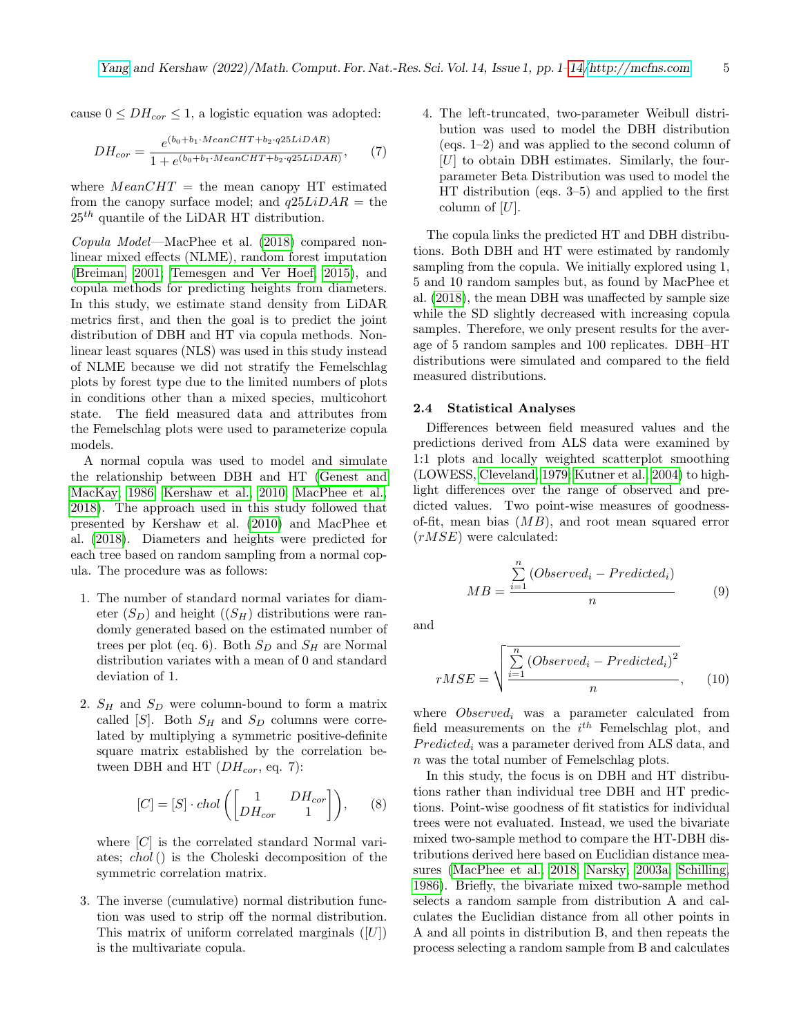cause  $0 \leq DH_{cor} \leq 1$ , a logistic equation was adopted:

$$
DH_{cor} = \frac{e^{(b_0 + b_1 \cdot MeanCHT + b_2 \cdot q25LiDAR)}}{1 + e^{(b_0 + b_1 \cdot MeanCHT + b_2 \cdot q25LiDAR)}},
$$
(7)

where  $MeanCHT$  = the mean canopy HT estimated from the canopy surface model; and  $q25LiDAR =$  the  $25<sup>th</sup>$  quantile of the LiDAR HT distribution.

Copula Model—MacPhee et al. [\(2018\)](#page-11-4) compared nonlinear mixed effects (NLME), random forest imputation [\(Breiman, 2001;](#page-10-11) [Temesgen and Ver Hoef, 2015\)](#page-12-8), and copula methods for predicting heights from diameters. In this study, we estimate stand density from LiDAR metrics first, and then the goal is to predict the joint distribution of DBH and HT via copula methods. Nonlinear least squares (NLS) was used in this study instead of NLME because we did not stratify the Femelschlag plots by forest type due to the limited numbers of plots in conditions other than a mixed species, multicohort state. The field measured data and attributes from the Femelschlag plots were used to parameterize copula models.

A normal copula was used to model and simulate the relationship between DBH and HT [\(Genest and](#page-10-2) [MacKay, 1986;](#page-10-2) [Kershaw et al., 2010;](#page-11-5) [MacPhee et al.,](#page-11-4) [2018\)](#page-11-4). The approach used in this study followed that presented by Kershaw et al. [\(2010\)](#page-11-5) and MacPhee et al. [\(2018\)](#page-11-4). Diameters and heights were predicted for each tree based on random sampling from a normal copula. The procedure was as follows:

- 1. The number of standard normal variates for diameter  $(S_D)$  and height  $((S_H)$  distributions were randomly generated based on the estimated number of trees per plot (eq. 6). Both  $S_D$  and  $S_H$  are Normal distribution variates with a mean of 0 and standard deviation of 1.
- 2.  $S_H$  and  $S_D$  were column-bound to form a matrix called [S]. Both  $S_H$  and  $S_D$  columns were correlated by multiplying a symmetric positive-definite square matrix established by the correlation between DBH and HT  $(DH_{cor}, eq. 7)$ :

$$
[C] = [S] \cdot chol\left(\begin{bmatrix} 1 & DH_{cor} \\ DH_{cor} & 1 \end{bmatrix}\right), \quad (8)
$$

where  $[C]$  is the correlated standard Normal variates; chol() is the Choleski decomposition of the symmetric correlation matrix.

3. The inverse (cumulative) normal distribution function was used to strip off the normal distribution. This matrix of uniform correlated marginals  $([U])$ is the multivariate copula.

4. The left-truncated, two-parameter Weibull distribution was used to model the DBH distribution (eqs. 1–2) and was applied to the second column of  $[U]$  to obtain DBH estimates. Similarly, the fourparameter Beta Distribution was used to model the HT distribution (eqs. 3–5) and applied to the first column of  $[U]$ .

The copula links the predicted HT and DBH distributions. Both DBH and HT were estimated by randomly sampling from the copula. We initially explored using 1, 5 and 10 random samples but, as found by MacPhee et al. [\(2018\)](#page-11-4), the mean DBH was unaffected by sample size while the SD slightly decreased with increasing copula samples. Therefore, we only present results for the average of 5 random samples and 100 replicates. DBH–HT distributions were simulated and compared to the field measured distributions.

## 2.4 Statistical Analyses

Differences between field measured values and the predictions derived from ALS data were examined by 1:1 plots and locally weighted scatterplot smoothing (LOWESS, [Cleveland, 1979;](#page-10-12) [Kutner et al., 2004\)](#page-11-9) to highlight differences over the range of observed and predicted values. Two point-wise measures of goodnessof-fit, mean bias  $(MB)$ , and root mean squared error  $(rMSE)$  were calculated:

$$
MB = \frac{\sum_{i=1}^{n} (Observed_i - Predicted_i)}{n}
$$
 (9)

and

$$
rMSE = \sqrt{\frac{\sum_{i=1}^{n} (Observed_i - Predicted_i)^2}{n}},
$$
 (10)

where  $Observed_i$  was a parameter calculated from field measurements on the  $i^{th}$  Femelschlag plot, and  $Predicted_i$  was a parameter derived from ALS data, and n was the total number of Femelschlag plots.

In this study, the focus is on DBH and HT distributions rather than individual tree DBH and HT predictions. Point-wise goodness of fit statistics for individual trees were not evaluated. Instead, we used the bivariate mixed two-sample method to compare the HT-DBH distributions derived here based on Euclidian distance measures [\(MacPhee et al., 2018;](#page-11-4) [Narsky, 2003a;](#page-12-9) [Schilling,](#page-12-10) [1986\)](#page-12-10). Briefly, the bivariate mixed two-sample method selects a random sample from distribution A and calculates the Euclidian distance from all other points in A and all points in distribution B, and then repeats the process selecting a random sample from B and calculates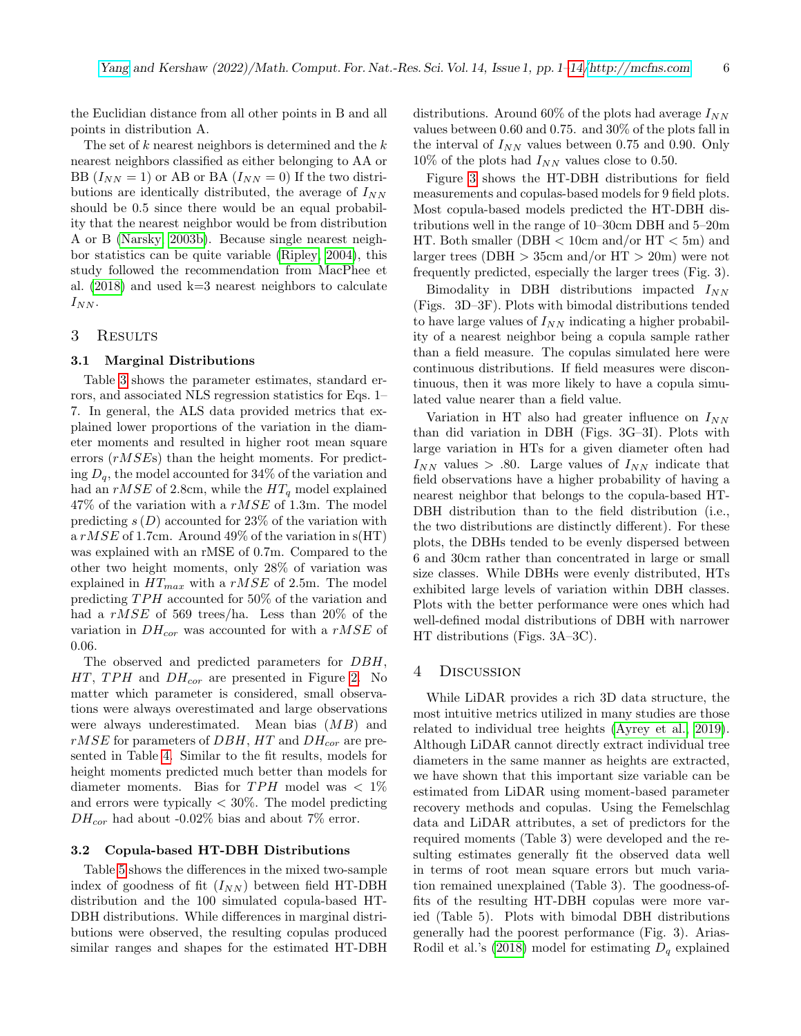the Euclidian distance from all other points in B and all points in distribution A.

The set of  $k$  nearest neighbors is determined and the  $k$ nearest neighbors classified as either belonging to AA or BB  $(I_{NN} = 1)$  or AB or BA  $(I_{NN} = 0)$  If the two distributions are identically distributed, the average of  $I_{NN}$ should be 0.5 since there would be an equal probability that the nearest neighbor would be from distribution A or B [\(Narsky, 2003b\)](#page-12-11). Because single nearest neighbor statistics can be quite variable [\(Ripley, 2004\)](#page-12-12), this study followed the recommendation from MacPhee et al.  $(2018)$  and used k=3 nearest neighbors to calculate  $I_{NN}$ .

#### 3 RESULTS

## 3.1 Marginal Distributions

Table [3](#page-6-0) shows the parameter estimates, standard errors, and associated NLS regression statistics for Eqs. 1– 7. In general, the ALS data provided metrics that explained lower proportions of the variation in the diameter moments and resulted in higher root mean square errors (rMSEs) than the height moments. For predicting  $D_q$ , the model accounted for 34% of the variation and had an  $rMSE$  of 2.8cm, while the  $HT_q$  model explained  $47\%$  of the variation with a  $rMSE$  of 1.3m. The model predicting  $s(D)$  accounted for 23% of the variation with a  $rMSE$  of 1.7cm. Around 49% of the variation in  $s(HT)$ was explained with an rMSE of 0.7m. Compared to the other two height moments, only 28% of variation was explained in  $HT_{max}$  with a rMSE of 2.5m. The model predicting  $TPH$  accounted for 50% of the variation and had a rMSE of 569 trees/ha. Less than 20% of the variation in  $DH_{cor}$  was accounted for with a rMSE of 0.06.

The observed and predicted parameters for DBH,  $HT$ , TPH and  $DH_{cor}$  are presented in Figure [2.](#page-7-0) No matter which parameter is considered, small observations were always overestimated and large observations were always underestimated. Mean bias (MB) and  $rMSE$  for parameters of DBH, HT and DH<sub>cor</sub> are presented in Table [4.](#page-6-1) Similar to the fit results, models for height moments predicted much better than models for diameter moments. Bias for  $TPH$  model was  $\langle 1 \rangle$ and errors were typically  $< 30\%$ . The model predicting  $DH_{cor}$  had about -0.02% bias and about 7% error.

## 3.2 Copula-based HT-DBH Distributions

Table [5](#page-6-2) shows the differences in the mixed two-sample index of goodness of fit  $(I_{NN})$  between field HT-DBH distribution and the 100 simulated copula-based HT-DBH distributions. While differences in marginal distributions were observed, the resulting copulas produced similar ranges and shapes for the estimated HT-DBH distributions. Around 60% of the plots had average  $I_{NN}$ values between 0.60 and 0.75. and 30% of the plots fall in the interval of  $I_{NN}$  values between 0.75 and 0.90. Only  $10\%$  of the plots had  $I_{NN}$  values close to 0.50.

Figure [3](#page-8-0) shows the HT-DBH distributions for field measurements and copulas-based models for 9 field plots. Most copula-based models predicted the HT-DBH distributions well in the range of 10–30cm DBH and 5–20m HT. Both smaller (DBH  $<$  10cm and/or HT  $<$  5m) and larger trees (DBH  $>$  35cm and/or HT  $>$  20m) were not frequently predicted, especially the larger trees (Fig. 3).

Bimodality in DBH distributions impacted  $I_{NN}$ (Figs. 3D–3F). Plots with bimodal distributions tended to have large values of  $I_{NN}$  indicating a higher probability of a nearest neighbor being a copula sample rather than a field measure. The copulas simulated here were continuous distributions. If field measures were discontinuous, then it was more likely to have a copula simulated value nearer than a field value.

Variation in HT also had greater influence on  $I_{NN}$ than did variation in DBH (Figs. 3G–3I). Plots with large variation in HTs for a given diameter often had  $I_{NN}$  values > .80. Large values of  $I_{NN}$  indicate that field observations have a higher probability of having a nearest neighbor that belongs to the copula-based HT-DBH distribution than to the field distribution (i.e., the two distributions are distinctly different). For these plots, the DBHs tended to be evenly dispersed between 6 and 30cm rather than concentrated in large or small size classes. While DBHs were evenly distributed, HTs exhibited large levels of variation within DBH classes. Plots with the better performance were ones which had well-defined modal distributions of DBH with narrower HT distributions (Figs. 3A–3C).

#### 4 Discussion

While LiDAR provides a rich 3D data structure, the most intuitive metrics utilized in many studies are those related to individual tree heights [\(Ayrey et al., 2019\)](#page-9-4). Although LiDAR cannot directly extract individual tree diameters in the same manner as heights are extracted, we have shown that this important size variable can be estimated from LiDAR using moment-based parameter recovery methods and copulas. Using the Femelschlag data and LiDAR attributes, a set of predictors for the required moments (Table 3) were developed and the resulting estimates generally fit the observed data well in terms of root mean square errors but much variation remained unexplained (Table 3). The goodness-offits of the resulting HT-DBH copulas were more varied (Table 5). Plots with bimodal DBH distributions generally had the poorest performance (Fig. 3). Arias-Rodil et al.'s [\(2018\)](#page-9-2) model for estimating  $D_q$  explained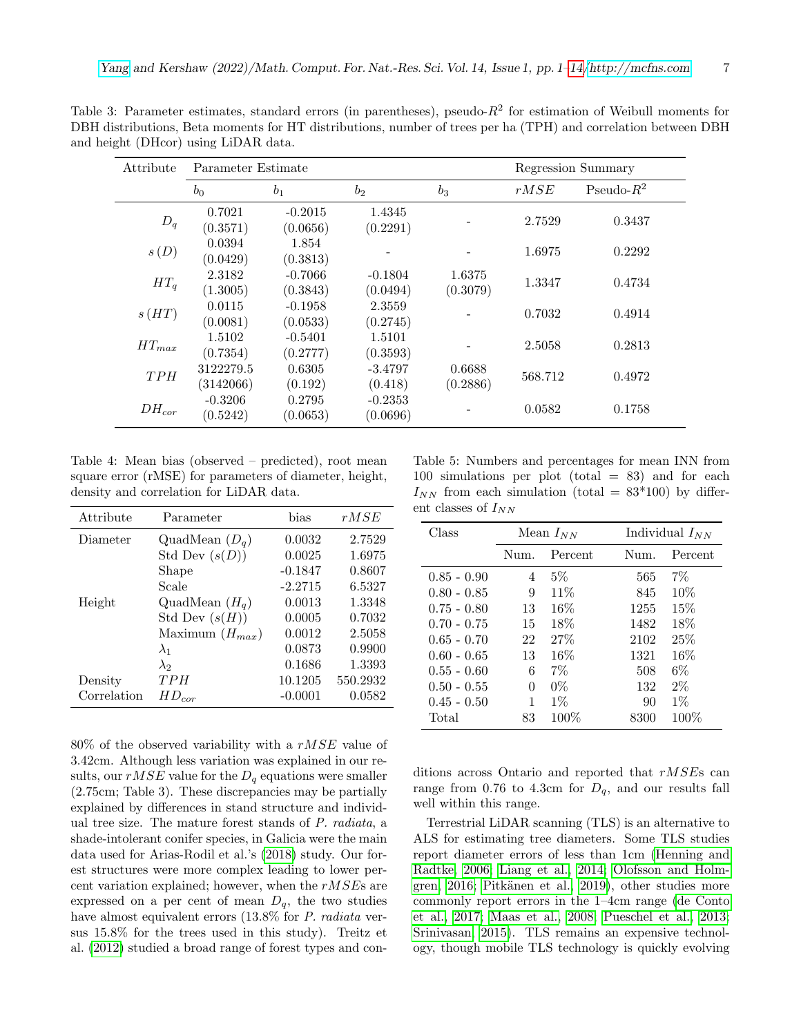| Attribute  | Parameter Estimate     |                       |                       |                    |         | Regression Summary |  |
|------------|------------------------|-----------------------|-----------------------|--------------------|---------|--------------------|--|
|            | $b_0$                  | b <sub>1</sub>        | $b_2$                 | $b_3$              | rMSE    | Pseudo- $R^2$      |  |
| $D_q$      | 0.7021<br>(0.3571)     | $-0.2015$<br>(0.0656) | 1.4345<br>(0.2291)    |                    | 2.7529  | 0.3437             |  |
| s(D)       | 0.0394<br>(0.0429)     | 1.854<br>(0.3813)     |                       |                    | 1.6975  | 0.2292             |  |
| $HT_q$     | 2.3182<br>(1.3005)     | $-0.7066$<br>(0.3843) | $-0.1804$<br>(0.0494) | 1.6375<br>(0.3079) | 1.3347  | 0.4734             |  |
| s(HT)      | 0.0115<br>(0.0081)     | $-0.1958$<br>(0.0533) | 2.3559<br>(0.2745)    |                    | 0.7032  | 0.4914             |  |
| $HT_{max}$ | 1.5102<br>(0.7354)     | $-0.5401$<br>(0.2777) | 1.5101<br>(0.3593)    |                    | 2.5058  | 0.2813             |  |
| TPH        | 3122279.5<br>(3142066) | 0.6305<br>(0.192)     | $-3.4797$<br>(0.418)  | 0.6688<br>(0.2886) | 568.712 | 0.4972             |  |
| $DH_{cor}$ | $-0.3206$<br>(0.5242)  | 0.2795<br>(0.0653)    | $-0.2353$<br>(0.0696) |                    | 0.0582  | 0.1758             |  |

<span id="page-6-0"></span>Table 3: Parameter estimates, standard errors (in parentheses), pseudo- $R^2$  for estimation of Weibull moments for DBH distributions, Beta moments for HT distributions, number of trees per ha (TPH) and correlation between DBH and height (DHcor) using LiDAR data.

<span id="page-6-1"></span>Table 4: Mean bias (observed – predicted), root mean square error (rMSE) for parameters of diameter, height, density and correlation for LiDAR data.

| Attribute   | Parameter           | bias      | rMSE     |
|-------------|---------------------|-----------|----------|
| Diameter    | QuadMean $(D_q)$    | 0.0032    | 2.7529   |
|             | Std Dev $(s(D))$    | 0.0025    | 1.6975   |
|             | Shape               | $-0.1847$ | 0.8607   |
|             | Scale               | $-2.2715$ | 6.5327   |
| Height      | QuadMean $(H_q)$    | 0.0013    | 1.3348   |
|             | Std Dev $(s(H))$    | 0.0005    | 0.7032   |
|             | Maximum $(H_{max})$ | 0.0012    | 2.5058   |
|             | $\lambda_1$         | 0.0873    | 0.9900   |
|             | $\lambda_2$         | 0.1686    | 1.3393   |
| Density     | TPH                 | 10.1205   | 550.2932 |
| Correlation | $HD_{cor}$          | $-0.0001$ | 0.0582   |

 $80\%$  of the observed variability with a rMSE value of 3.42cm. Although less variation was explained in our results, our  $rMSE$  value for the  $D_q$  equations were smaller (2.75cm; Table 3). These discrepancies may be partially explained by differences in stand structure and individual tree size. The mature forest stands of P. radiata, a shade-intolerant conifer species, in Galicia were the main data used for Arias-Rodil et al.'s [\(2018\)](#page-9-2) study. Our forest structures were more complex leading to lower percent variation explained; however, when the  $rMSE$ s are expressed on a per cent of mean  $D_q$ , the two studies have almost equivalent errors  $(13.8\%$  for P. radiata versus 15.8% for the trees used in this study). Treitz et al. [\(2012\)](#page-12-13) studied a broad range of forest types and con-

<span id="page-6-2"></span>Table 5: Numbers and percentages for mean INN from 100 simulations per plot (total  $= 83$ ) and for each  $I_{NN}$  from each simulation (total = 83\*100) by different classes of  $I_{NN}$ 

| Class         | Mean $I_{NN}$ |         |      | Individual $I_{NN}$ |  |
|---------------|---------------|---------|------|---------------------|--|
|               | Num.          | Percent | Num. | Percent             |  |
| $0.85 - 0.90$ | 4             | $5\%$   | 565  | $7\%$               |  |
| $0.80 - 0.85$ | 9             | $11\%$  | 845  | $10\%$              |  |
| $0.75 - 0.80$ | 13            | 16%     | 1255 | 15%                 |  |
| $0.70 - 0.75$ | 15            | 18\%    | 1482 | 18\%                |  |
| $0.65 - 0.70$ | 22            | 27%     | 2102 | 25%                 |  |
| $0.60 - 0.65$ | 13            | 16%     | 1321 | $16\%$              |  |
| $0.55 - 0.60$ | 6             | 7%      | 508  | $6\%$               |  |
| $0.50 - 0.55$ | 0             | $0\%$   | 132  | $2\%$               |  |
| $0.45 - 0.50$ | 1             | $1\%$   | 90   | $1\%$               |  |
| Total         | 83            | 100\%   | 8300 | $100\%$             |  |

ditions across Ontario and reported that rMSEs can range from 0.76 to 4.3cm for  $D_q$ , and our results fall well within this range.

Terrestrial LiDAR scanning (TLS) is an alternative to ALS for estimating tree diameters. Some TLS studies report diameter errors of less than 1cm [\(Henning and](#page-10-13) [Radtke, 2006;](#page-10-13) [Liang et al., 2014;](#page-11-10) [Olofsson and Holm](#page-12-14)[gren, 2016;](#page-12-14) Pitkänen et al., 2019), other studies more commonly report errors in the 1–4cm range [\(de Conto](#page-10-14) [et al., 2017;](#page-10-14) [Maas et al., 2008;](#page-11-11) [Pueschel et al., 2013;](#page-12-16) [Srinivasan, 2015\)](#page-12-17). TLS remains an expensive technology, though mobile TLS technology is quickly evolving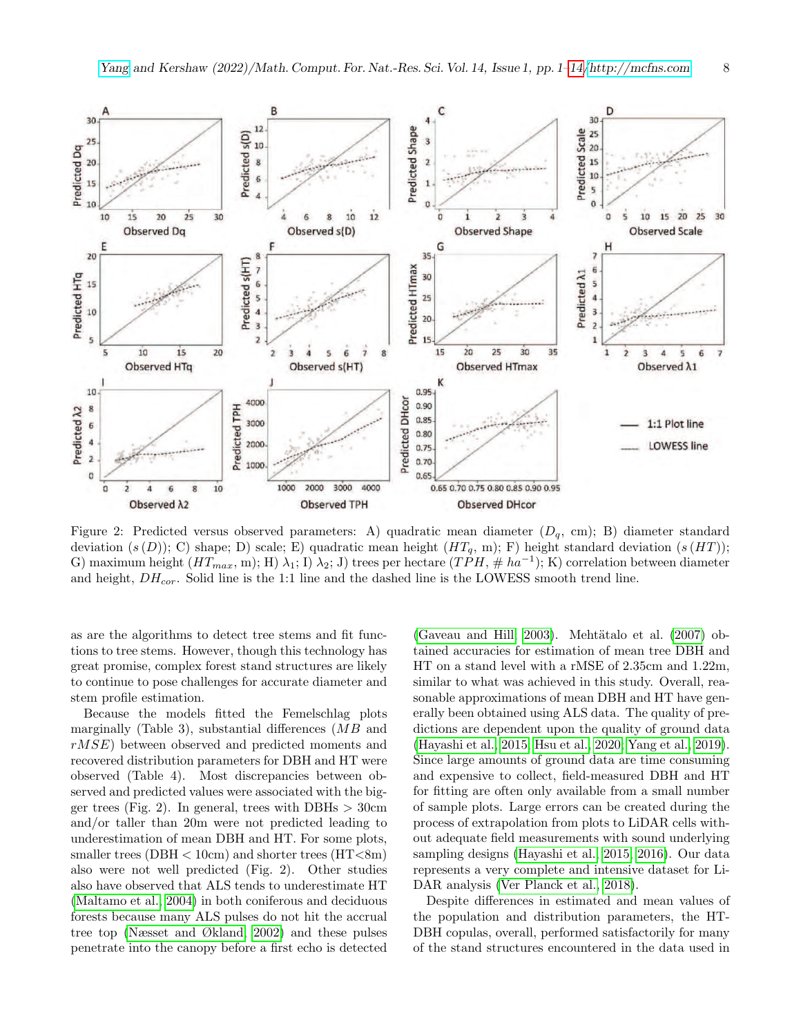<span id="page-7-0"></span>

Figure 2: Predicted versus observed parameters: A) quadratic mean diameter  $(D_q, cm)$ ; B) diameter standard deviation  $(s(D))$ ; C) shape; D) scale; E) quadratic mean height  $(HT<sub>q</sub>, m)$ ; F) height standard deviation  $(s(HT))$ ; G) maximum height  $(HT_{max}, m)$ ; H)  $\lambda_1$ ; I)  $\lambda_2$ ; J) trees per hectare  $(TPH, \# ha^{-1})$ ; K) correlation between diameter and height,  $DH_{cor}$ . Solid line is the 1:1 line and the dashed line is the LOWESS smooth trend line.

as are the algorithms to detect tree stems and fit functions to tree stems. However, though this technology has great promise, complex forest stand structures are likely to continue to pose challenges for accurate diameter and stem profile estimation.

Because the models fitted the Femelschlag plots marginally (Table 3), substantial differences  $(MB)$  and rMSE) between observed and predicted moments and recovered distribution parameters for DBH and HT were observed (Table 4). Most discrepancies between observed and predicted values were associated with the bigger trees (Fig. 2). In general, trees with DBHs  $>$  30cm and/or taller than 20m were not predicted leading to underestimation of mean DBH and HT. For some plots, smaller trees (DBH  $<$  10cm) and shorter trees (HT $<$ 8m) also were not well predicted (Fig. 2). Other studies also have observed that ALS tends to underestimate HT [\(Maltamo et al., 2004\)](#page-11-12) in both coniferous and deciduous forests because many ALS pulses do not hit the accrual tree top [\(Næsset and Økland, 2002\)](#page-11-13) and these pulses penetrate into the canopy before a first echo is detected [\(Gaveau and Hill, 2003\)](#page-10-15). Mehtätalo et al.  $(2007)$  obtained accuracies for estimation of mean tree DBH and HT on a stand level with a rMSE of 2.35cm and 1.22m, similar to what was achieved in this study. Overall, reasonable approximations of mean DBH and HT have generally been obtained using ALS data. The quality of predictions are dependent upon the quality of ground data [\(Hayashi et al., 2015;](#page-10-6) [Hsu et al., 2020;](#page-11-14) [Yang et al., 2019\)](#page-13-7). Since large amounts of ground data are time consuming and expensive to collect, field-measured DBH and HT for fitting are often only available from a small number of sample plots. Large errors can be created during the process of extrapolation from plots to LiDAR cells without adequate field measurements with sound underlying sampling designs [\(Hayashi et al., 2015,](#page-10-6) [2016\)](#page-10-16). Our data represents a very complete and intensive dataset for Li-DAR analysis [\(Ver Planck et al., 2018\)](#page-12-18).

Despite differences in estimated and mean values of the population and distribution parameters, the HT-DBH copulas, overall, performed satisfactorily for many of the stand structures encountered in the data used in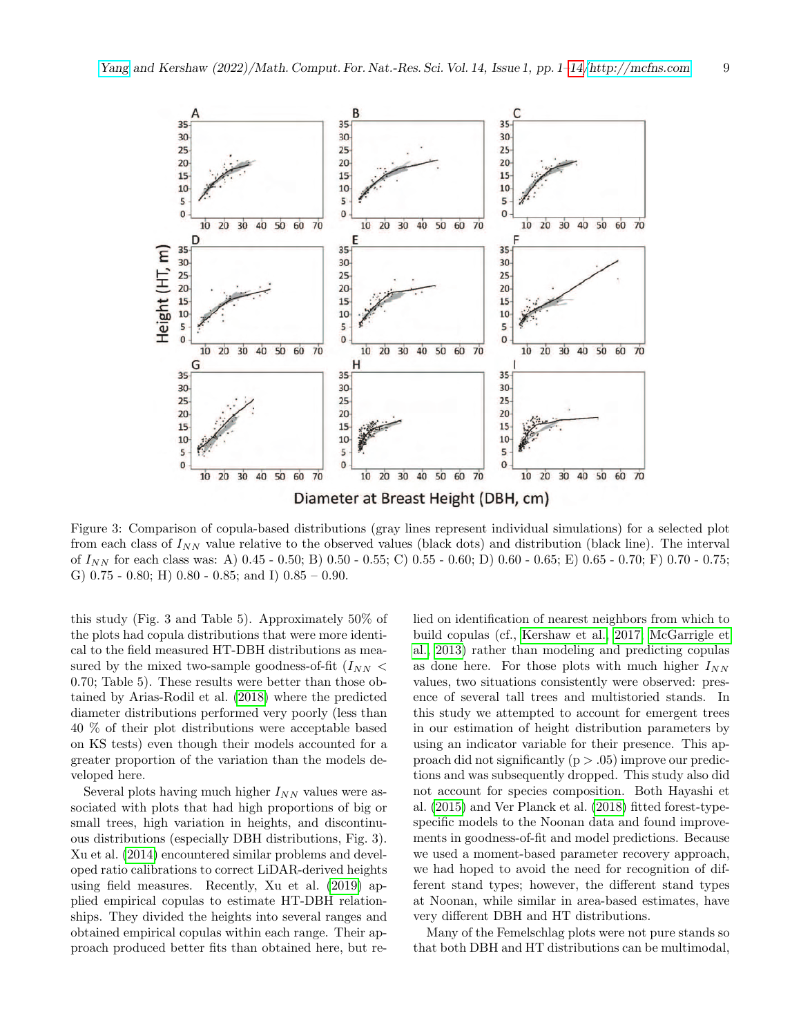<span id="page-8-0"></span>

Figure 3: Comparison of copula-based distributions (gray lines represent individual simulations) for a selected plot from each class of  $I_{NN}$  value relative to the observed values (black dots) and distribution (black line). The interval of  $I_{NN}$  for each class was: A) 0.45 - 0.50; B) 0.50 - 0.55; C) 0.55 - 0.60; D) 0.60 - 0.65; E) 0.65 - 0.70; F) 0.70 - 0.75; G)  $0.75$  -  $0.80$ ; H)  $0.80$  -  $0.85$ ; and I)  $0.85 - 0.90$ .

this study (Fig. 3 and Table 5). Approximately 50% of the plots had copula distributions that were more identical to the field measured HT-DBH distributions as measured by the mixed two-sample goodness-of-fit  $(I_{NN}$  < 0.70; Table 5). These results were better than those obtained by Arias-Rodil et al. [\(2018\)](#page-9-2) where the predicted diameter distributions performed very poorly (less than 40 % of their plot distributions were acceptable based on KS tests) even though their models accounted for a greater proportion of the variation than the models developed here.

Several plots having much higher  $I_{NN}$  values were associated with plots that had high proportions of big or small trees, high variation in heights, and discontinuous distributions (especially DBH distributions, Fig. 3). Xu et al. [\(2014\)](#page-13-8) encountered similar problems and developed ratio calibrations to correct LiDAR-derived heights using field measures. Recently, Xu et al. [\(2019\)](#page-13-9) applied empirical copulas to estimate HT-DBH relationships. They divided the heights into several ranges and obtained empirical copulas within each range. Their approach produced better fits than obtained here, but relied on identification of nearest neighbors from which to build copulas (cf., [Kershaw et al., 2017;](#page-11-15) [McGarrigle et](#page-11-16) [al., 2013\)](#page-11-16) rather than modeling and predicting copulas as done here. For those plots with much higher  $I_{NN}$ values, two situations consistently were observed: presence of several tall trees and multistoried stands. In this study we attempted to account for emergent trees in our estimation of height distribution parameters by using an indicator variable for their presence. This approach did not significantly ( $p > .05$ ) improve our predictions and was subsequently dropped. This study also did not account for species composition. Both Hayashi et al. [\(2015\)](#page-10-6) and Ver Planck et al. [\(2018\)](#page-12-18) fitted forest-typespecific models to the Noonan data and found improvements in goodness-of-fit and model predictions. Because we used a moment-based parameter recovery approach, we had hoped to avoid the need for recognition of different stand types; however, the different stand types at Noonan, while similar in area-based estimates, have very different DBH and HT distributions.

Many of the Femelschlag plots were not pure stands so that both DBH and HT distributions can be multimodal,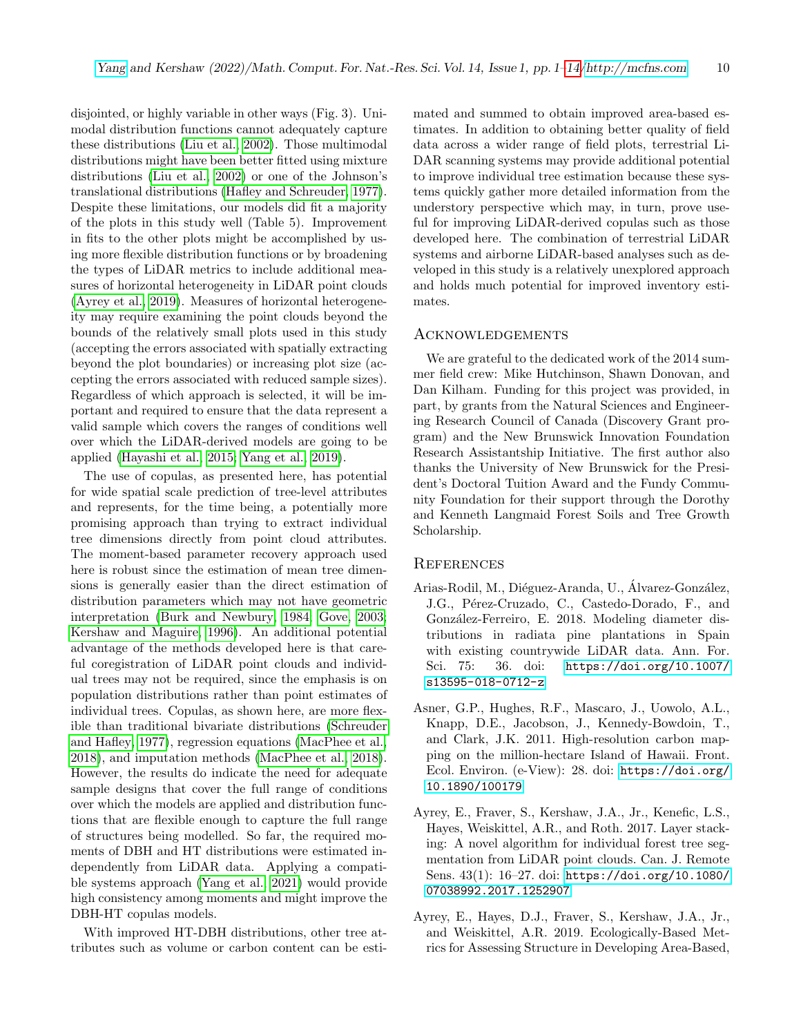disjointed, or highly variable in other ways (Fig. 3). Unimodal distribution functions cannot adequately capture these distributions [\(Liu et al., 2002\)](#page-11-17). Those multimodal distributions might have been better fitted using mixture distributions [\(Liu et al., 2002\)](#page-11-17) or one of the Johnson's translational distributions [\(Hafley and Schreuder, 1977\)](#page-10-17). Despite these limitations, our models did fit a majority of the plots in this study well (Table 5). Improvement in fits to the other plots might be accomplished by using more flexible distribution functions or by broadening the types of LiDAR metrics to include additional measures of horizontal heterogeneity in LiDAR point clouds [\(Ayrey et al., 2019\)](#page-9-4). Measures of horizontal heterogeneity may require examining the point clouds beyond the bounds of the relatively small plots used in this study (accepting the errors associated with spatially extracting beyond the plot boundaries) or increasing plot size (accepting the errors associated with reduced sample sizes). Regardless of which approach is selected, it will be important and required to ensure that the data represent a valid sample which covers the ranges of conditions well over which the LiDAR-derived models are going to be applied [\(Hayashi et al., 2015;](#page-10-6) [Yang et al., 2019\)](#page-13-7).

The use of copulas, as presented here, has potential for wide spatial scale prediction of tree-level attributes and represents, for the time being, a potentially more promising approach than trying to extract individual tree dimensions directly from point cloud attributes. The moment-based parameter recovery approach used here is robust since the estimation of mean tree dimensions is generally easier than the direct estimation of distribution parameters which may not have geometric interpretation [\(Burk and Newbury, 1984;](#page-10-10) [Gove, 2003;](#page-10-18) [Kershaw and Maguire, 1996\)](#page-11-18). An additional potential advantage of the methods developed here is that careful coregistration of LiDAR point clouds and individual trees may not be required, since the emphasis is on population distributions rather than point estimates of individual trees. Copulas, as shown here, are more flexible than traditional bivariate distributions [\(Schreuder](#page-12-19) [and Hafley, 1977\)](#page-12-19), regression equations [\(MacPhee et al.,](#page-11-4) [2018\)](#page-11-4), and imputation methods [\(MacPhee et al., 2018\)](#page-11-4). However, the results do indicate the need for adequate sample designs that cover the full range of conditions over which the models are applied and distribution functions that are flexible enough to capture the full range of structures being modelled. So far, the required moments of DBH and HT distributions were estimated independently from LiDAR data. Applying a compatible systems approach [\(Yang et al., 2021\)](#page-13-10) would provide high consistency among moments and might improve the DBH-HT copulas models.

With improved HT-DBH distributions, other tree attributes such as volume or carbon content can be estimated and summed to obtain improved area-based estimates. In addition to obtaining better quality of field data across a wider range of field plots, terrestrial Li-DAR scanning systems may provide additional potential to improve individual tree estimation because these systems quickly gather more detailed information from the understory perspective which may, in turn, prove useful for improving LiDAR-derived copulas such as those developed here. The combination of terrestrial LiDAR systems and airborne LiDAR-based analyses such as developed in this study is a relatively unexplored approach and holds much potential for improved inventory estimates.

## Acknowledgements

We are grateful to the dedicated work of the 2014 summer field crew: Mike Hutchinson, Shawn Donovan, and Dan Kilham. Funding for this project was provided, in part, by grants from the Natural Sciences and Engineering Research Council of Canada (Discovery Grant program) and the New Brunswick Innovation Foundation Research Assistantship Initiative. The first author also thanks the University of New Brunswick for the President's Doctoral Tuition Award and the Fundy Community Foundation for their support through the Dorothy and Kenneth Langmaid Forest Soils and Tree Growth Scholarship.

#### <span id="page-9-0"></span>**REFERENCES**

- <span id="page-9-2"></span>Arias-Rodil, M., Diéguez-Aranda, U., Álvarez-González, J.G., Pérez-Cruzado, C., Castedo-Dorado, F., and González-Ferreiro, E. 2018. Modeling diameter distributions in radiata pine plantations in Spain with existing countrywide LiDAR data. Ann. For. Sci. 75: 36. doi: [https://doi.org/10.1007/](https://doi.org/10.1007/s13595-018-0712-z) [s13595-018-0712-z](https://doi.org/10.1007/s13595-018-0712-z)
- <span id="page-9-1"></span>Asner, G.P., Hughes, R.F., Mascaro, J., Uowolo, A.L., Knapp, D.E., Jacobson, J., Kennedy-Bowdoin, T., and Clark, J.K. 2011. High-resolution carbon mapping on the million-hectare Island of Hawaii. Front. Ecol. Environ. (e-View): 28. doi: [https://doi.org/](https://doi.org/10.1890/100179) [10.1890/100179](https://doi.org/10.1890/100179)
- <span id="page-9-3"></span>Ayrey, E., Fraver, S., Kershaw, J.A., Jr., Kenefic, L.S., Hayes, Weiskittel, A.R., and Roth. 2017. Layer stacking: A novel algorithm for individual forest tree segmentation from LiDAR point clouds. Can. J. Remote Sens. 43(1): 16–27. doi: [https://doi.org/10.1080/](https://doi.org/10.1080/07038992.2017.1252907) [07038992.2017.1252907](https://doi.org/10.1080/07038992.2017.1252907)
- <span id="page-9-4"></span>Ayrey, E., Hayes, D.J., Fraver, S., Kershaw, J.A., Jr., and Weiskittel, A.R. 2019. Ecologically-Based Metrics for Assessing Structure in Developing Area-Based,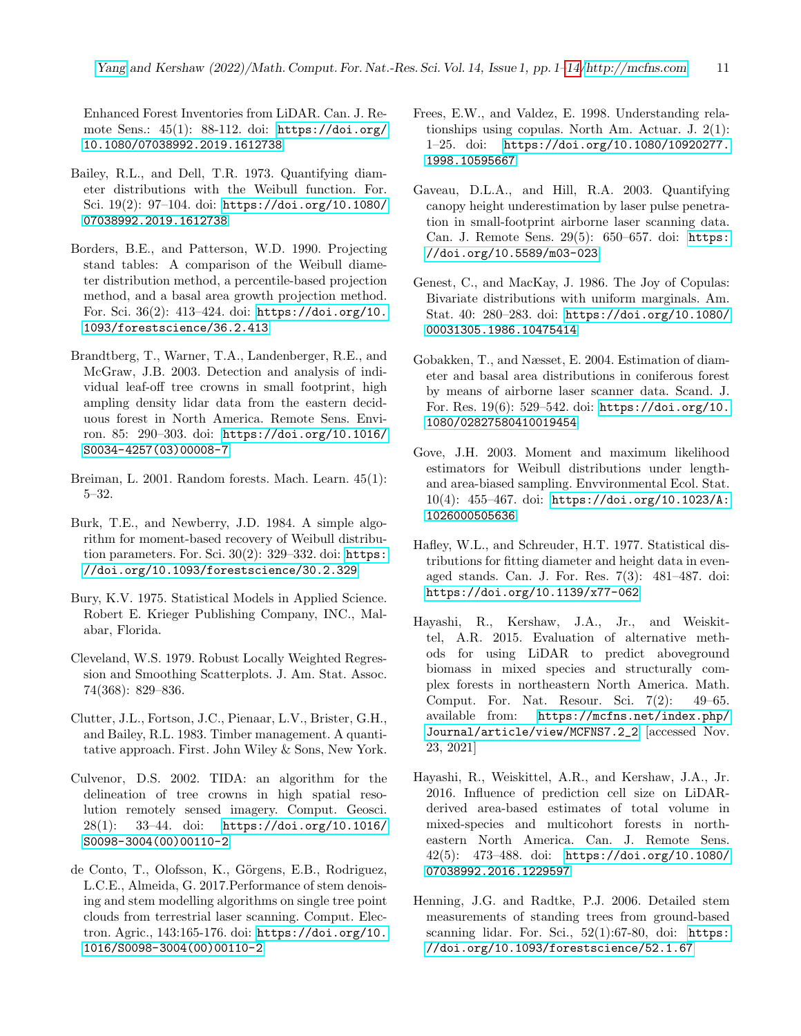Enhanced Forest Inventories from LiDAR. Can. J. Remote Sens.: 45(1): 88-112. doi: [https://doi.org/](https://doi.org/10.1080/07038992.2019.1612738) [10.1080/07038992.2019.1612738](https://doi.org/10.1080/07038992.2019.1612738)

- <span id="page-10-7"></span>Bailey, R.L., and Dell, T.R. 1973. Quantifying diameter distributions with the Weibull function. For. Sci. 19(2): 97–104. doi: [https://doi.org/10.1080/](https://doi.org/10.1080/07038992.2019.1612738) [07038992.2019.1612738](https://doi.org/10.1080/07038992.2019.1612738)
- <span id="page-10-8"></span>Borders, B.E., and Patterson, W.D. 1990. Projecting stand tables: A comparison of the Weibull diameter distribution method, a percentile-based projection method, and a basal area growth projection method. For. Sci. 36(2): 413–424. doi: [https://doi.org/10.](https://doi.org/10.1093/forestscience/36.2.413) [1093/forestscience/36.2.413](https://doi.org/10.1093/forestscience/36.2.413)
- <span id="page-10-4"></span>Brandtberg, T., Warner, T.A., Landenberger, R.E., and McGraw, J.B. 2003. Detection and analysis of individual leaf-off tree crowns in small footprint, high ampling density lidar data from the eastern deciduous forest in North America. Remote Sens. Environ. 85: 290–303. doi: [https://doi.org/10.1016/](https://doi.org/10.1016/S0034-4257(03)00008-7) [S0034-4257\(03\)00008-7](https://doi.org/10.1016/S0034-4257(03)00008-7)
- <span id="page-10-11"></span>Breiman, L. 2001. Random forests. Mach. Learn. 45(1): 5–32.
- <span id="page-10-10"></span>Burk, T.E., and Newberry, J.D. 1984. A simple algorithm for moment-based recovery of Weibull distribution parameters. For. Sci. 30(2): 329-332. doi: [https:](https://doi.org/10.1093/forestscience/30.2.329) [//doi.org/10.1093/forestscience/30.2.329](https://doi.org/10.1093/forestscience/30.2.329)
- <span id="page-10-9"></span>Bury, K.V. 1975. Statistical Models in Applied Science. Robert E. Krieger Publishing Company, INC., Malabar, Florida.
- <span id="page-10-12"></span>Cleveland, W.S. 1979. Robust Locally Weighted Regression and Smoothing Scatterplots. J. Am. Stat. Assoc. 74(368): 829–836.
- <span id="page-10-0"></span>Clutter, J.L., Fortson, J.C., Pienaar, L.V., Brister, G.H., and Bailey, R.L. 1983. Timber management. A quantitative approach. First. John Wiley & Sons, New York.
- <span id="page-10-5"></span>Culvenor, D.S. 2002. TIDA: an algorithm for the delineation of tree crowns in high spatial resolution remotely sensed imagery. Comput. Geosci. 28(1): 33–44. doi: [https://doi.org/10.1016/](https://doi.org/10.1016/S0098-3004(00)00110-2) [S0098-3004\(00\)00110-2](https://doi.org/10.1016/S0098-3004(00)00110-2)
- <span id="page-10-14"></span>de Conto, T., Olofsson, K., Görgens, E.B., Rodriguez, L.C.E., Almeida, G. 2017.Performance of stem denoising and stem modelling algorithms on single tree point clouds from terrestrial laser scanning. Comput. Electron. Agric., 143:165-176. doi: [https://doi.org/10.](https://doi.org/10.1016/S0098-3004(00)00110-2) [1016/S0098-3004\(00\)00110-2](https://doi.org/10.1016/S0098-3004(00)00110-2)
- <span id="page-10-3"></span>Frees, E.W., and Valdez, E. 1998. Understanding relationships using copulas. North Am. Actuar. J. 2(1): 1–25. doi: [https://doi.org/10.1080/10920277.](https://doi.org/10.1080/10920277.1998.10595667) [1998.10595667](https://doi.org/10.1080/10920277.1998.10595667)
- <span id="page-10-15"></span>Gaveau, D.L.A., and Hill, R.A. 2003. Quantifying canopy height underestimation by laser pulse penetration in small-footprint airborne laser scanning data. Can. J. Remote Sens. 29(5): 650–657. doi: [https:](https://doi.org/10.5589/m03-023) [//doi.org/10.5589/m03-023](https://doi.org/10.5589/m03-023)
- <span id="page-10-2"></span>Genest, C., and MacKay, J. 1986. The Joy of Copulas: Bivariate distributions with uniform marginals. Am. Stat. 40: 280–283. doi: [https://doi.org/10.1080/](https://doi.org/10.1080/00031305.1986.10475414) [00031305.1986.10475414](https://doi.org/10.1080/00031305.1986.10475414)
- <span id="page-10-1"></span>Gobakken, T., and Næsset, E. 2004. Estimation of diameter and basal area distributions in coniferous forest by means of airborne laser scanner data. Scand. J. For. Res. 19(6): 529–542. doi: [https://doi.org/10.](https://doi.org/10.1080/02827580410019454) [1080/02827580410019454](https://doi.org/10.1080/02827580410019454)
- <span id="page-10-18"></span>Gove, J.H. 2003. Moment and maximum likelihood estimators for Weibull distributions under lengthand area-biased sampling. Envvironmental Ecol. Stat. 10(4): 455–467. doi: [https://doi.org/10.1023/A:](https://doi.org/10.1023/A:1026000505636) [1026000505636](https://doi.org/10.1023/A:1026000505636)
- <span id="page-10-17"></span>Hafley, W.L., and Schreuder, H.T. 1977. Statistical distributions for fitting diameter and height data in evenaged stands. Can. J. For. Res. 7(3): 481–487. doi: <https://doi.org/10.1139/x77-062>
- <span id="page-10-6"></span>Hayashi, R., Kershaw, J.A., Jr., and Weiskittel, A.R. 2015. Evaluation of alternative methods for using LiDAR to predict aboveground biomass in mixed species and structurally complex forests in northeastern North America. Math. Comput. For. Nat. Resour. Sci. 7(2): 49–65. available from: [https://mcfns.net/index.php/](https://mcfns.net/index.php/Journal/article/view/MCFNS7.2_2) [Journal/article/view/MCFNS7.2\\_2](https://mcfns.net/index.php/Journal/article/view/MCFNS7.2_2) [accessed Nov. 23, 2021]
- <span id="page-10-16"></span>Hayashi, R., Weiskittel, A.R., and Kershaw, J.A., Jr. 2016. Influence of prediction cell size on LiDARderived area-based estimates of total volume in mixed-species and multicohort forests in northeastern North America. Can. J. Remote Sens. 42(5): 473–488. doi: [https://doi.org/10.1080/](https://doi.org/10.1080/07038992.2016.1229597) [07038992.2016.1229597](https://doi.org/10.1080/07038992.2016.1229597)
- <span id="page-10-13"></span>Henning, J.G. and Radtke, P.J. 2006. Detailed stem measurements of standing trees from ground-based scanning lidar. For. Sci., 52(1):67-80, doi: [https:](https://doi.org/10.1093/forestscience/52.1.67) [//doi.org/10.1093/forestscience/52.1.67](https://doi.org/10.1093/forestscience/52.1.67)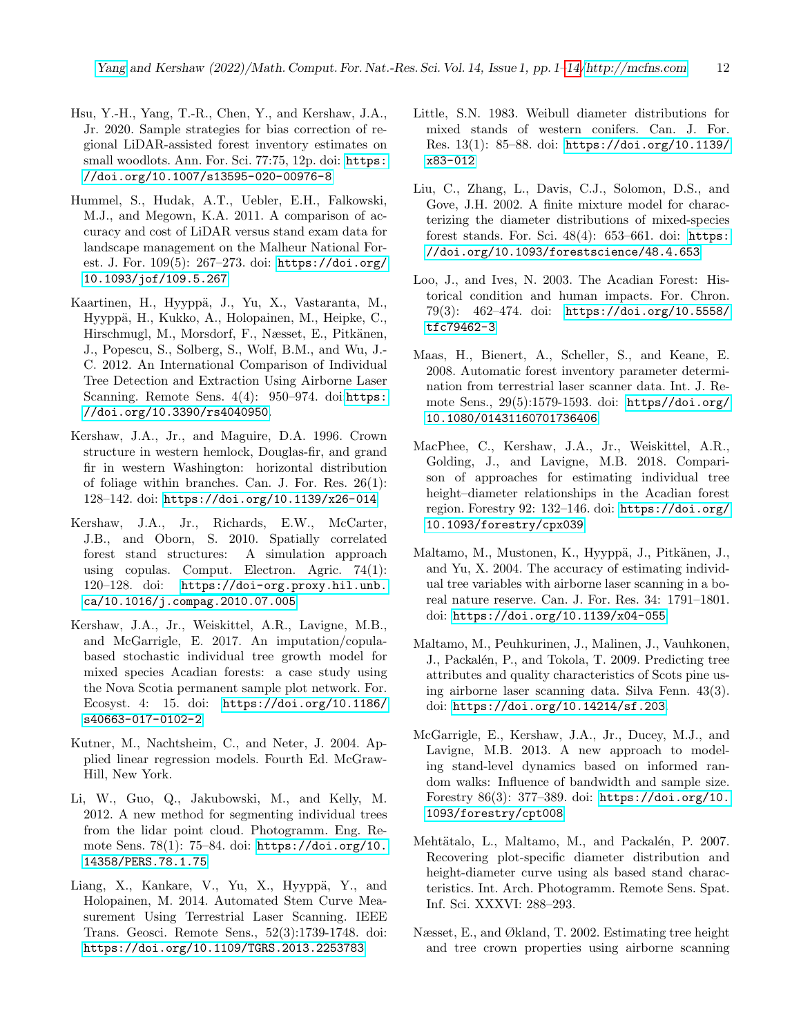- <span id="page-11-14"></span>Hsu, Y.-H., Yang, T.-R., Chen, Y., and Kershaw, J.A., Jr. 2020. Sample strategies for bias correction of regional LiDAR-assisted forest inventory estimates on small woodlots. Ann. For. Sci. 77:75, 12p. doi: [https:](https://doi.org/10.1007/s13595-020-00976-8) [//doi.org/10.1007/s13595-020-00976-8](https://doi.org/10.1007/s13595-020-00976-8)
- <span id="page-11-0"></span>Hummel, S., Hudak, A.T., Uebler, E.H., Falkowski, M.J., and Megown, K.A. 2011. A comparison of accuracy and cost of LiDAR versus stand exam data for landscape management on the Malheur National Forest. J. For. 109(5): 267–273. doi: [https://doi.org/](https://doi.org/10.1093/jof/109.5.267) [10.1093/jof/109.5.267](https://doi.org/10.1093/jof/109.5.267)
- <span id="page-11-1"></span>Kaartinen, H., Hyyppä, J., Yu, X., Vastaranta, M., Hyyppä, H., Kukko, A., Holopainen, M., Heipke, C., Hirschmugl, M., Morsdorf, F., Næsset, E., Pitkänen, J., Popescu, S., Solberg, S., Wolf, B.M., and Wu, J.- C. 2012. An International Comparison of Individual Tree Detection and Extraction Using Airborne Laser Scanning. Remote Sens. 4(4): 950-974. doi:[https:](https://doi.org/10.3390/rs4040950) [//doi.org/10.3390/rs4040950](https://doi.org/10.3390/rs4040950).
- <span id="page-11-18"></span>Kershaw, J.A., Jr., and Maguire, D.A. 1996. Crown structure in western hemlock, Douglas-fir, and grand fir in western Washington: horizontal distribution of foliage within branches. Can. J. For. Res. 26(1): 128–142. doi: <https://doi.org/10.1139/x26-014>
- <span id="page-11-5"></span>Kershaw, J.A., Jr., Richards, E.W., McCarter, J.B., and Oborn, S. 2010. Spatially correlated forest stand structures: A simulation approach using copulas. Comput. Electron. Agric. 74(1): 120–128. doi: [https://doi-org.proxy.hil.unb.](https://doi-org.proxy.hil.unb.ca/10.1016/j.compag.2010.07.005) [ca/10.1016/j.compag.2010.07.005](https://doi-org.proxy.hil.unb.ca/10.1016/j.compag.2010.07.005)
- <span id="page-11-15"></span>Kershaw, J.A., Jr., Weiskittel, A.R., Lavigne, M.B., and McGarrigle, E. 2017. An imputation/copulabased stochastic individual tree growth model for mixed species Acadian forests: a case study using the Nova Scotia permanent sample plot network. For. Ecosyst. 4: 15. doi: [https://doi.org/10.1186/](https://doi.org/10.1186/s40663-017-0102-2) [s40663-017-0102-2](https://doi.org/10.1186/s40663-017-0102-2)
- <span id="page-11-9"></span>Kutner, M., Nachtsheim, C., and Neter, J. 2004. Applied linear regression models. Fourth Ed. McGraw-Hill, New York.
- <span id="page-11-6"></span>Li, W., Guo, Q., Jakubowski, M., and Kelly, M. 2012. A new method for segmenting individual trees from the lidar point cloud. Photogramm. Eng. Remote Sens. 78(1): 75–84. doi: [https://doi.org/10.](https://doi.org/10.14358/PERS.78.1.75) [14358/PERS.78.1.75](https://doi.org/10.14358/PERS.78.1.75)
- <span id="page-11-10"></span>Liang, X., Kankare, V., Yu, X., Hyyppä, Y., and Holopainen, M. 2014. Automated Stem Curve Measurement Using Terrestrial Laser Scanning. IEEE Trans. Geosci. Remote Sens., 52(3):1739-1748. doi: <https://doi.org/10.1109/TGRS.2013.2253783>
- <span id="page-11-8"></span>Little, S.N. 1983. Weibull diameter distributions for mixed stands of western conifers. Can. J. For. Res. 13(1): 85–88. doi: [https://doi.org/10.1139/](https://doi.org/10.1139/x83-012) [x83-012](https://doi.org/10.1139/x83-012)
- <span id="page-11-17"></span>Liu, C., Zhang, L., Davis, C.J., Solomon, D.S., and Gove, J.H. 2002. A finite mixture model for characterizing the diameter distributions of mixed-species forest stands. For. Sci.  $48(4)$ :  $653-661$ . doi: [https:](https://doi.org/10.1093/forestscience/48.4.653) [//doi.org/10.1093/forestscience/48.4.653](https://doi.org/10.1093/forestscience/48.4.653)
- <span id="page-11-7"></span>Loo, J., and Ives, N. 2003. The Acadian Forest: Historical condition and human impacts. For. Chron. 79(3): 462–474. doi: [https://doi.org/10.5558/](https://doi.org/10.5558/tfc79462-3) [tfc79462-3](https://doi.org/10.5558/tfc79462-3)
- <span id="page-11-11"></span>Maas, H., Bienert, A., Scheller, S., and Keane, E. 2008. Automatic forest inventory parameter determination from terrestrial laser scanner data. Int. J. Remote Sens., 29(5):1579-1593. doi: [https//doi.org/](https//doi.org/10.1080/01431160701736406) [10.1080/01431160701736406](https//doi.org/10.1080/01431160701736406)
- <span id="page-11-4"></span>MacPhee, C., Kershaw, J.A., Jr., Weiskittel, A.R., Golding, J., and Lavigne, M.B. 2018. Comparison of approaches for estimating individual tree height–diameter relationships in the Acadian forest region. Forestry 92: 132–146. doi: [https://doi.org/](https://doi.org/10.1093/forestry/cpx039) [10.1093/forestry/cpx039](https://doi.org/10.1093/forestry/cpx039)
- <span id="page-11-12"></span>Maltamo, M., Mustonen, K., Hyyppä, J., Pitkänen, J., and Yu, X. 2004. The accuracy of estimating individual tree variables with airborne laser scanning in a boreal nature reserve. Can. J. For. Res. 34: 1791–1801. doi: <https://doi.org/10.1139/x04-055>
- <span id="page-11-2"></span>Maltamo, M., Peuhkurinen, J., Malinen, J., Vauhkonen, J., Packalén, P., and Tokola, T. 2009. Predicting tree attributes and quality characteristics of Scots pine using airborne laser scanning data. Silva Fenn. 43(3). doi: <https://doi.org/10.14214/sf.203>.
- <span id="page-11-16"></span>McGarrigle, E., Kershaw, J.A., Jr., Ducey, M.J., and Lavigne, M.B. 2013. A new approach to modeling stand-level dynamics based on informed random walks: Influence of bandwidth and sample size. Forestry 86(3): 377–389. doi: [https://doi.org/10.](https://doi.org/10.1093/forestry/cpt008) [1093/forestry/cpt008](https://doi.org/10.1093/forestry/cpt008)
- <span id="page-11-3"></span>Mehtätalo, L., Maltamo, M., and Packalén, P. 2007. Recovering plot-specific diameter distribution and height-diameter curve using als based stand characteristics. Int. Arch. Photogramm. Remote Sens. Spat. Inf. Sci. XXXVI: 288–293.
- <span id="page-11-13"></span>Næsset, E., and Økland, T. 2002. Estimating tree height and tree crown properties using airborne scanning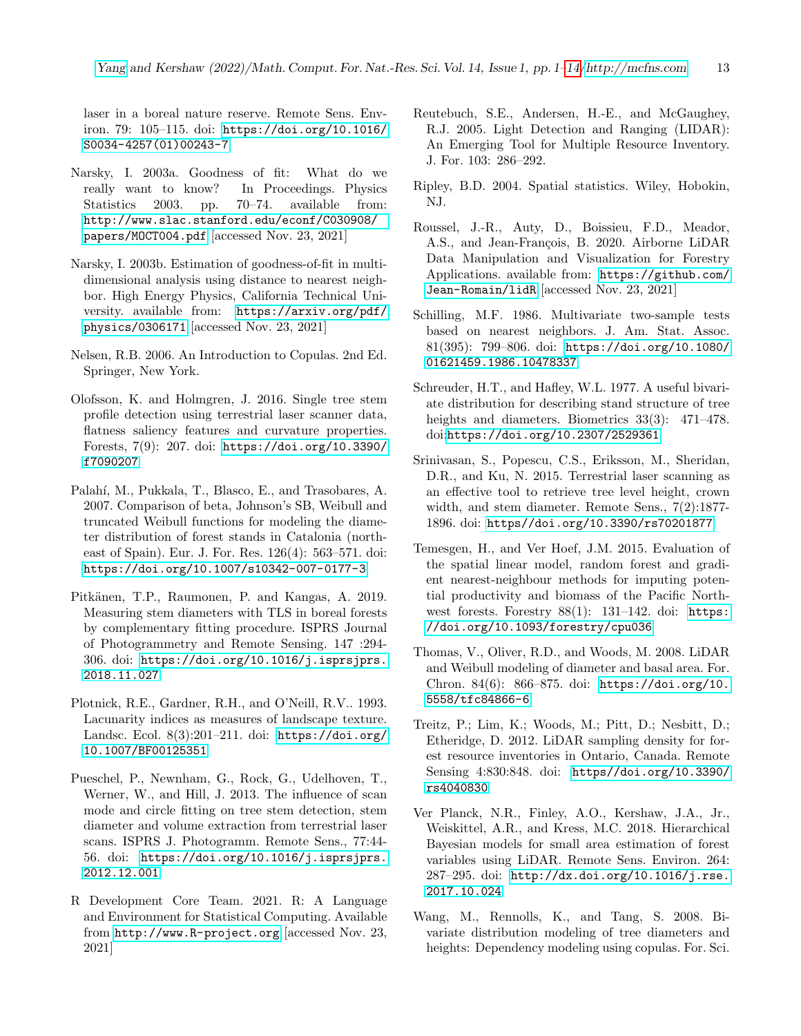laser in a boreal nature reserve. Remote Sens. Environ. 79: 105–115. doi: [https://doi.org/10.1016/](https://doi.org/10.1016/S0034-4257(01)00243-7) [S0034-4257\(01\)00243-7](https://doi.org/10.1016/S0034-4257(01)00243-7)

- <span id="page-12-9"></span>Narsky, I. 2003a. Goodness of fit: What do we really want to know? In Proceedings. Physics Statistics 2003. pp. 70–74. available from: [http://www.slac.stanford.edu/econf/C030908/](http://www.slac.stanford.edu/econf/C030908/papers/MOCT004.pdf) [papers/MOCT004.pdf](http://www.slac.stanford.edu/econf/C030908/papers/MOCT004.pdf) [accessed Nov. 23, 2021]
- <span id="page-12-11"></span>Narsky, I. 2003b. Estimation of goodness-of-fit in multidimensional analysis using distance to nearest neighbor. High Energy Physics, California Technical University. available from: [https://arxiv.org/pdf/](https://arxiv.org/pdf/physics/0306171) [physics/0306171](https://arxiv.org/pdf/physics/0306171) [accessed Nov. 23, 2021]
- <span id="page-12-2"></span>Nelsen, R.B. 2006. An Introduction to Copulas. 2nd Ed. Springer, New York.
- <span id="page-12-14"></span>Olofsson, K. and Holmgren, J. 2016. Single tree stem profile detection using terrestrial laser scanner data, flatness saliency features and curvature properties. Forests, 7(9): 207. doi: [https://doi.org/10.3390/](https://doi.org/10.3390/f7090207) [f7090207](https://doi.org/10.3390/f7090207)
- <span id="page-12-7"></span>Palahí, M., Pukkala, T., Blasco, E., and Trasobares, A. 2007. Comparison of beta, Johnson's SB, Weibull and truncated Weibull functions for modeling the diameter distribution of forest stands in Catalonia (northeast of Spain). Eur. J. For. Res. 126(4): 563–571. doi: <https://doi.org/10.1007/s10342-007-0177-3>
- <span id="page-12-15"></span>Pitkänen, T.P., Raumonen, P. and Kangas, A. 2019. Measuring stem diameters with TLS in boreal forests by complementary fitting procedure. ISPRS Journal of Photogrammetry and Remote Sensing. 147 :294- 306. doi: [https://doi.org/10.1016/j.isprsjprs.](https://doi.org/10.1016/j.isprsjprs.2018.11.027) [2018.11.027](https://doi.org/10.1016/j.isprsjprs.2018.11.027)
- <span id="page-12-6"></span>Plotnick, R.E., Gardner, R.H., and O'Neill, R.V.. 1993. Lacunarity indices as measures of landscape texture. Landsc. Ecol. 8(3):201–211. doi: [https://doi.org/](https://doi.org/10.1007/BF00125351) [10.1007/BF00125351](https://doi.org/10.1007/BF00125351)
- <span id="page-12-16"></span>Pueschel, P., Newnham, G., Rock, G., Udelhoven, T., Werner, W., and Hill, J. 2013. The influence of scan mode and circle fitting on tree stem detection, stem diameter and volume extraction from terrestrial laser scans. ISPRS J. Photogramm. Remote Sens., 77:44- 56. doi: [https://doi.org/10.1016/j.isprsjprs.](https://doi.org/10.1016/j.isprsjprs.2012.12.001) [2012.12.001](https://doi.org/10.1016/j.isprsjprs.2012.12.001)
- <span id="page-12-5"></span>R Development Core Team. 2021. R: A Language and Environment for Statistical Computing. Available from <http://www.R-project.org> [accessed Nov. 23, 2021]
- <span id="page-12-0"></span>Reutebuch, S.E., Andersen, H.-E., and McGaughey, R.J. 2005. Light Detection and Ranging (LIDAR): An Emerging Tool for Multiple Resource Inventory. J. For. 103: 286–292.
- <span id="page-12-12"></span>Ripley, B.D. 2004. Spatial statistics. Wiley, Hobokin, NJ.
- <span id="page-12-4"></span>Roussel, J.-R., Auty, D., Boissieu, F.D., Meador, A.S., and Jean-François, B. 2020. Airborne LiDAR Data Manipulation and Visualization for Forestry Applications. available from: [https://github.com/](https://github.com/Jean-Romain/lidR) [Jean-Romain/lidR](https://github.com/Jean-Romain/lidR) [accessed Nov. 23, 2021]
- <span id="page-12-10"></span>Schilling, M.F. 1986. Multivariate two-sample tests based on nearest neighbors. J. Am. Stat. Assoc. 81(395): 799–806. doi: [https://doi.org/10.1080/](https://doi.org/10.1080/01621459.1986.10478337) [01621459.1986.10478337](https://doi.org/10.1080/01621459.1986.10478337)
- <span id="page-12-19"></span>Schreuder, H.T., and Hafley, W.L. 1977. A useful bivariate distribution for describing stand structure of tree heights and diameters. Biometrics 33(3): 471–478. doi:<https://doi.org/10.2307/2529361>
- <span id="page-12-17"></span>Srinivasan, S., Popescu, C.S., Eriksson, M., Sheridan, D.R., and Ku, N. 2015. Terrestrial laser scanning as an effective tool to retrieve tree level height, crown width, and stem diameter. Remote Sens., 7(2):1877- 1896. doi: <https//doi.org/10.3390/rs70201877>
- <span id="page-12-8"></span>Temesgen, H., and Ver Hoef, J.M. 2015. Evaluation of the spatial linear model, random forest and gradient nearest-neighbour methods for imputing potential productivity and biomass of the Pacific Northwest forests. Forestry 88(1): 131-142. doi: [https:](https://doi.org/10.1093/forestry/cpu036) [//doi.org/10.1093/forestry/cpu036](https://doi.org/10.1093/forestry/cpu036)
- <span id="page-12-1"></span>Thomas, V., Oliver, R.D., and Woods, M. 2008. LiDAR and Weibull modeling of diameter and basal area. For. Chron. 84(6): 866–875. doi: [https://doi.org/10.](https://doi.org/10.5558/tfc84866-6) [5558/tfc84866-6](https://doi.org/10.5558/tfc84866-6)
- <span id="page-12-13"></span>Treitz, P.; Lim, K.; Woods, M.; Pitt, D.; Nesbitt, D.; Etheridge, D. 2012. LiDAR sampling density for forest resource inventories in Ontario, Canada. Remote Sensing 4:830:848. doi: [https//doi.org/10.3390/](https//doi.org/10.3390/rs4040830) [rs4040830](https//doi.org/10.3390/rs4040830)
- <span id="page-12-18"></span>Ver Planck, N.R., Finley, A.O., Kershaw, J.A., Jr., Weiskittel, A.R., and Kress, M.C. 2018. Hierarchical Bayesian models for small area estimation of forest variables using LiDAR. Remote Sens. Environ. 264: 287–295. doi: [http://dx.doi.org/10.1016/j.rse.](http://dx.doi.org/10.1016/j.rse.2017.10.024) [2017.10.024](http://dx.doi.org/10.1016/j.rse.2017.10.024)
- <span id="page-12-3"></span>Wang, M., Rennolls, K., and Tang, S. 2008. Bivariate distribution modeling of tree diameters and heights: Dependency modeling using copulas. For. Sci.